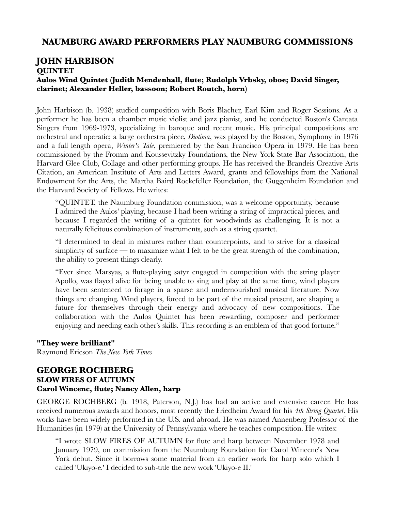## **NAUMBURG AWARD PERFORMERS PLAY NAUMBURG COMMISSIONS**

## **JOHN HARBISON QUINTET Aulos Wind Quintet (Judith Mendenhall, flute; Rudolph Vrbsky, oboe; David Singer, clarinet; Alexander Heller, bassoon; Robert Routch, horn)**

John Harbison (b. 1938) studied composition with Boris Blacher, Earl Kim and Roger Sessions. As a performer he has been a chamber music violist and jazz pianist, and he conducted Boston's Cantata Singers from 1969-1973, specializing in baroque and recent music. His principal compositions are orchestral and operatic; a large orchestra piece, *Diotima*, was played by the Boston, Symphony in 1976 and a full length opera, *Winter's Tale*, premiered by the San Francisco Opera in 1979. He has been commissioned by the Fromm and Koussevitzky Foundations, the New York State Bar Association, the Harvard Glee Club, Collage and other performing groups. He has received the Brandeis Creative Arts Citation, an American Institute of Arts and Letters Award, grants and fellowships from the National Endowment for the Arts, the Martha Baird Rockefeller Foundation, the Guggenheim Foundation and the Harvard Society of Fellows. He writes:

"QUINTET, the Naumburg Foundation commission, was a welcome opportunity, because I admired the Aulos' playing, because I had been writing a string of impractical pieces, and because I regarded the writing of a quintet for woodwinds as challenging. It is not a naturally felicitous combination of instruments, such as a string quartet.

"I determined to deal in mixtures rather than counterpoints, and to strive for a classical simplicity of surface — to maximize what I felt to be the great strength of the combination, the ability to present things clearly.

"Ever since Marsyas, a flute-playing satyr engaged in competition with the string player Apollo, was flayed alive for being unable to sing and play at the same time, wind players have been sentenced to forage in a sparse and undernourished musical literature. Now things are changing. Wind players, forced to be part of the musical present, are shaping a future for themselves through their energy and advocacy of new compositions. The collaboration with the Aulos Quintet has been rewarding, composer and performer enjoying and needing each other's skills. This recording is an emblem of that good fortune."

## **"They were brilliant"**

Raymond Ericson *The New York Times*

## **GEORGE ROCHBERG SLOW FIRES OF AUTUMN Carol Wincenc, flute; Nancy Allen, harp**

GEORGE ROCHBERG (b. 1918, Paterson, N.J.) has had an active and extensive career. He has received numerous awards and honors, most recently the Friedheim Award for his *4th String Quartet*. His works have been widely performed in the U.S. and abroad. He was named Annenberg Professor of the Humanities (in 1979) at the University of Pennsylvania where he teaches composition. He writes:

"I wrote SLOW FIRES OF AUTUMN for flute and harp between November 1978 and January 1979, on commission from the Naumburg Foundation for Carol Wincenc's New York debut. Since it borrows some material from an earlier work for harp solo which I called 'Ukiyo-e.' I decided to sub-title the new work 'Ukiyo-e II.'